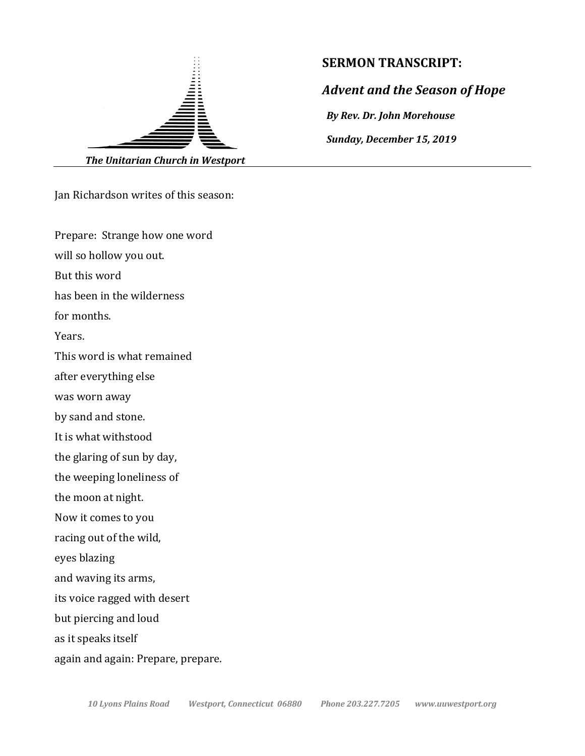

Jan Richardson writes of this season:

Prepare: Strange how one word

will so hollow you out.

But this word

has been in the wilderness

for months.

Years.

This word is what remained

after everything else

was worn away

by sand and stone.

It is what withstood

the glaring of sun by day,

the weeping loneliness of

the moon at night.

Now it comes to you

racing out of the wild,

eyes blazing

and waving its arms,

its voice ragged with desert

but piercing and loud

as it speaks itself

again and again: Prepare, prepare.

## **SERMON TRANSCRIPT:**

*Advent and the Season of Hope*

*By Rev. Dr. John Morehouse*

*Sunday, December 15, 2019*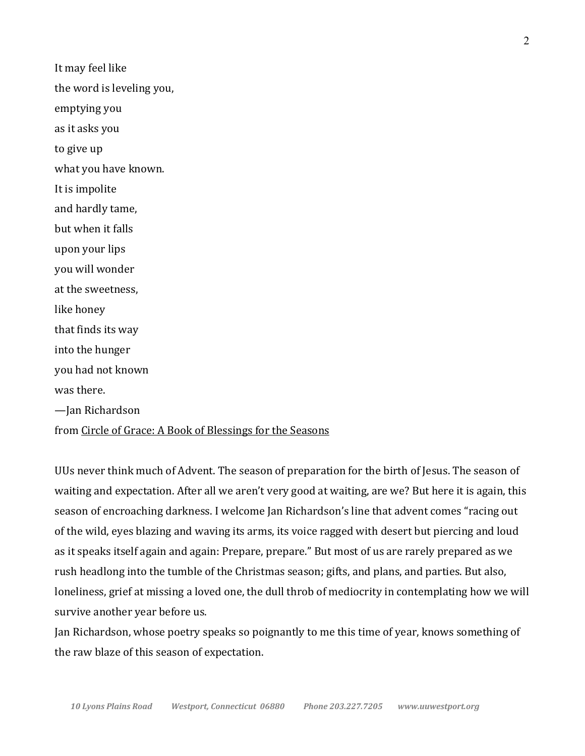It may feel like the word is leveling you, emptying you as it asks you to give up what you have known. It is impolite and hardly tame, but when it falls upon your lips you will wonder at the sweetness, like honey that finds its way into the hunger you had not known was there. —Jan Richardson

## from Circle of Grace: A Book of Blessings for the Seasons

UUs never think much of Advent. The season of preparation for the birth of Jesus. The season of waiting and expectation. After all we aren't very good at waiting, are we? But here it is again, this season of encroaching darkness. I welcome Jan Richardson's line that advent comes "racing out of the wild, eyes blazing and waving its arms, its voice ragged with desert but piercing and loud as it speaks itself again and again: Prepare, prepare." But most of us are rarely prepared as we rush headlong into the tumble of the Christmas season; gifts, and plans, and parties. But also, loneliness, grief at missing a loved one, the dull throb of mediocrity in contemplating how we will survive another year before us.

Jan Richardson, whose poetry speaks so poignantly to me this time of year, knows something of the raw blaze of this season of expectation.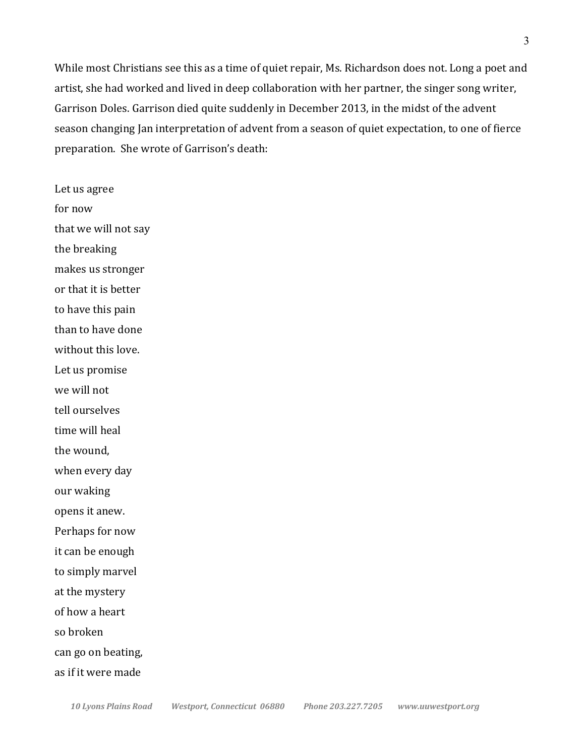While most Christians see this as a time of quiet repair, Ms. Richardson does not. Long a poet and artist, she had worked and lived in deep collaboration with her partner, the singer song writer, Garrison Doles. Garrison died quite suddenly in December 2013, in the midst of the advent season changing Jan interpretation of advent from a season of quiet expectation, to one of fierce preparation. She wrote of Garrison's death:

Let us agree for now that we will not say the breaking makes us stronger or that it is better to have this pain than to have done without this love. Let us promise we will not tell ourselves time will heal the wound, when every day our waking opens it anew. Perhaps for now it can be enough to simply marvel at the mystery of how a heart so broken can go on beating, as if it were made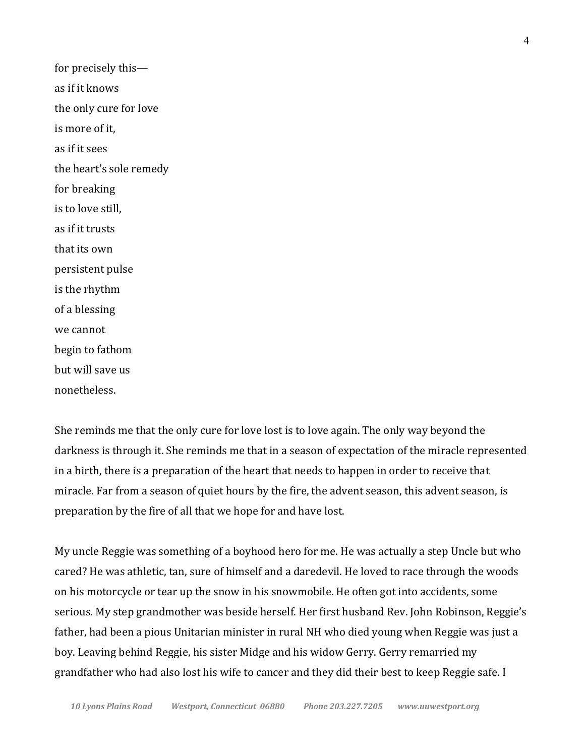for precisely thisas if it knows the only cure for love is more of it. as if it sees the heart's sole remedy for breaking is to love still. as if it trusts that its own persistent pulse is the rhythm of a blessing we cannot begin to fathom but will save us nonetheless.

She reminds me that the only cure for love lost is to love again. The only way beyond the darkness is through it. She reminds me that in a season of expectation of the miracle represented in a birth, there is a preparation of the heart that needs to happen in order to receive that miracle. Far from a season of quiet hours by the fire, the advent season, this advent season, is preparation by the fire of all that we hope for and have lost.

My uncle Reggie was something of a boyhood hero for me. He was actually a step Uncle but who cared? He was athletic, tan, sure of himself and a daredevil. He loved to race through the woods on his motorcycle or tear up the snow in his snowmobile. He often got into accidents, some serious. My step grandmother was beside herself. Her first husband Rev. John Robinson, Reggie's father, had been a pious Unitarian minister in rural NH who died young when Reggie was just a boy. Leaving behind Reggie, his sister Midge and his widow Gerry. Gerry remarried my grandfather who had also lost his wife to cancer and they did their best to keep Reggie safe. I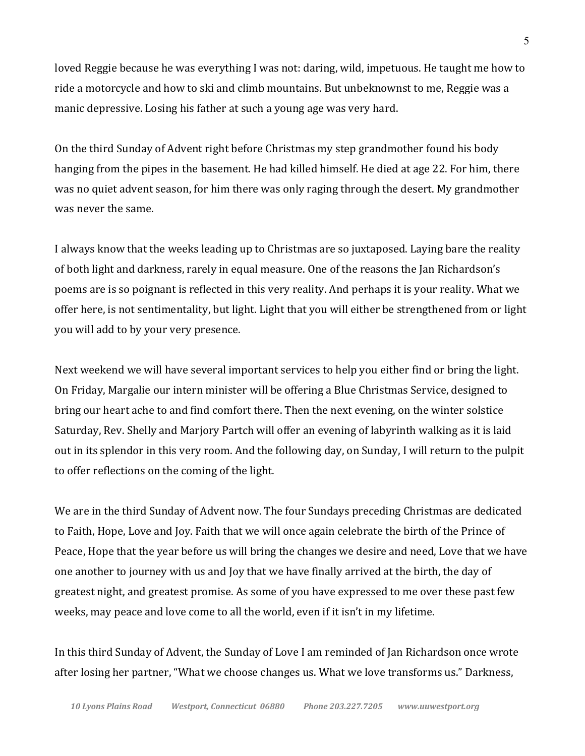loved Reggie because he was everything I was not: daring, wild, impetuous. He taught me how to ride a motorcycle and how to ski and climb mountains. But unbeknownst to me, Reggie was a manic depressive. Losing his father at such a young age was very hard.

On the third Sunday of Advent right before Christmas my step grandmother found his body hanging from the pipes in the basement. He had killed himself. He died at age 22. For him, there was no quiet advent season, for him there was only raging through the desert. My grandmother was never the same.

I always know that the weeks leading up to Christmas are so juxtaposed. Laying bare the reality of both light and darkness, rarely in equal measure. One of the reasons the Jan Richardson's poems are is so poignant is reflected in this very reality. And perhaps it is your reality. What we offer here, is not sentimentality, but light. Light that you will either be strengthened from or light you will add to by your very presence.

Next weekend we will have several important services to help you either find or bring the light. On Friday, Margalie our intern minister will be offering a Blue Christmas Service, designed to bring our heart ache to and find comfort there. Then the next evening, on the winter solstice Saturday, Rev. Shelly and Marjory Partch will offer an evening of labyrinth walking as it is laid out in its splendor in this very room. And the following day, on Sunday, I will return to the pulpit to offer reflections on the coming of the light.

We are in the third Sunday of Advent now. The four Sundays preceding Christmas are dedicated to Faith, Hope, Love and Joy. Faith that we will once again celebrate the birth of the Prince of Peace, Hope that the year before us will bring the changes we desire and need, Love that we have one another to journey with us and Joy that we have finally arrived at the birth, the day of greatest night, and greatest promise. As some of you have expressed to me over these past few weeks, may peace and love come to all the world, even if it isn't in my lifetime.

In this third Sunday of Advent, the Sunday of Love I am reminded of Jan Richardson once wrote after losing her partner, "What we choose changes us. What we love transforms us." Darkness,